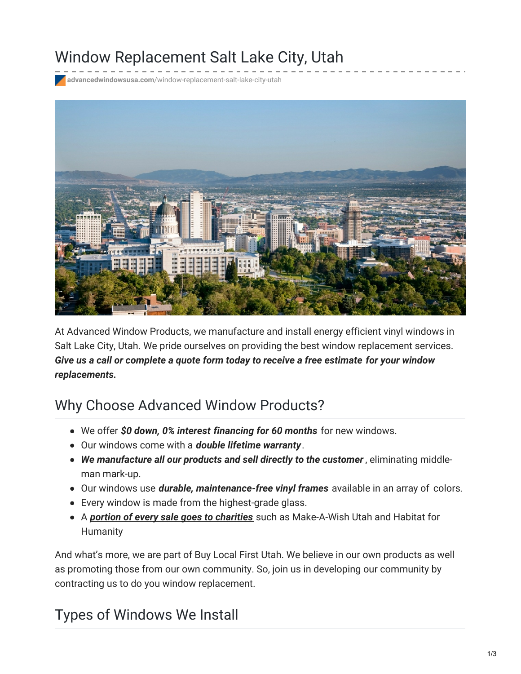# Window Replacement Salt Lake City, Utah

**advancedwindowsusa.com**[/window-replacement-salt-lake-city-utah](https://advancedwindowsusa.com/window-replacement-salt-lake-city-utah)



At Advanced Window Products, we manufacture and install energy efficient vinyl windows in Salt Lake City, Utah. We pride ourselves on providing the best window replacement services. *Give us a call or complete a quote form today to receive a free estimate for your window replacements.*

# Why Choose Advanced Window Products?

- We offer *\$0 down, 0% interest financing for 60 months* for new windows.
- Our windows come with a *double lifetime warranty*.
- *We manufacture all our products and sell directly to the customer* , eliminating middleman mark-up.
- Our windows use *durable, maintenance-free vinyl frames* available in an array of colors.
- Every window is made from the highest-grade glass.
- A *portion of every sale goes to [charities](https://advancedwindowsusa.com/charities)* such as Make-A-Wish Utah and Habitat for Humanity

And what's more, we are part of Buy Local First Utah. We believe in our own products as well as promoting those from our own community. So, join us in developing our community by contracting us to do you window replacement.

# Types of Windows We Install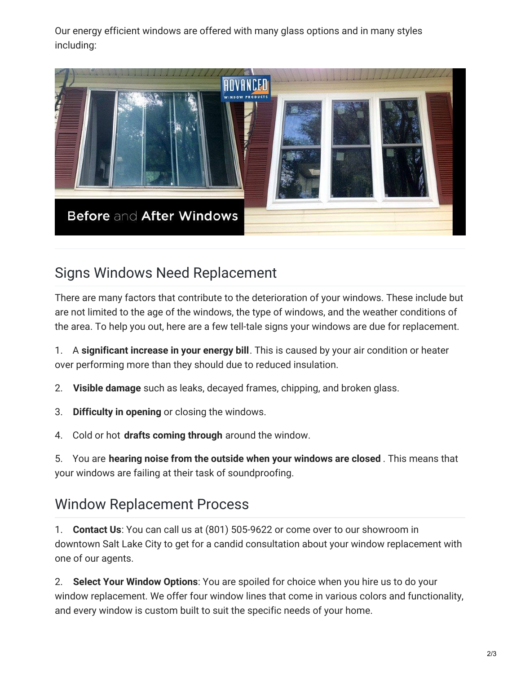Our energy efficient windows are offered with many glass options and in many styles including:



### Signs Windows Need Replacement

There are many factors that contribute to the deterioration of your windows. These include but are not limited to the age of the windows, the type of windows, and the weather conditions of the area. To help you out, here are a few tell-tale signs your windows are due for replacement.

1. A **significant increase in your energy bill**. This is caused by your air condition or heater over performing more than they should due to reduced insulation.

2. **Visible damage** such as leaks, decayed frames, chipping, and broken glass.

- 3. **Difficulty in opening** or closing the windows.
- 4. Cold or hot **drafts coming through** around the window.

5. You are **hearing noise from the outside when your windows are closed** . This means that your windows are failing at their task of soundproofing.

# Window Replacement Process

1. **Contact Us**: You can call us at (801) 505-9622 or come over to our showroom in downtown Salt Lake City to get for a candid consultation about your window replacement with one of our agents.

2. **Select Your Window Options**: You are spoiled for choice when you hire us to do your window replacement. We offer four window lines that come in various colors and functionality, and every window is custom built to suit the specific needs of your home.